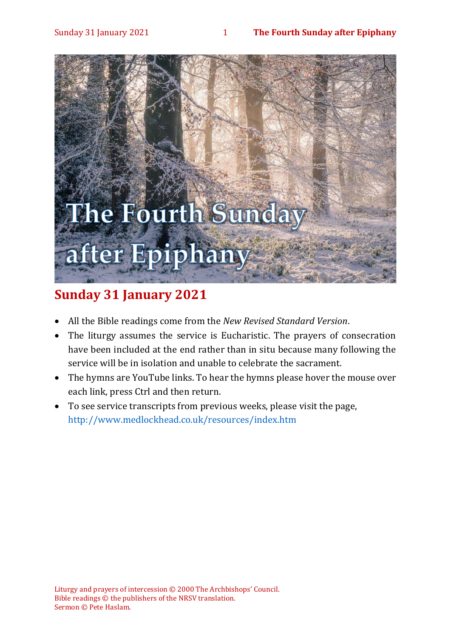#### Sunday 31 January 2021 1 **The Fourth Sunday after Epiphany**



# **Sunday 31 January 2021**

- All the Bible readings come from the *New Revised Standard Version*.
- The liturgy assumes the service is Eucharistic. The prayers of consecration have been included at the end rather than in situ because many following the service will be in isolation and unable to celebrate the sacrament.
- The hymns are YouTube links. To hear the hymns please hover the mouse over each link, press Ctrl and then return.
- To see service transcripts from previous weeks, please visit the page, <http://www.medlockhead.co.uk/resources/index.htm>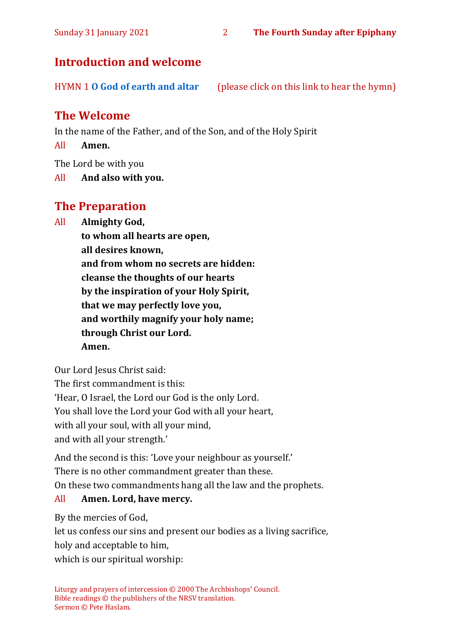# **Introduction and welcome**

HYMN 1 **[O God of earth and altar](https://www.youtube.com/watch?v=wFG-CqYXyOo)** (please click on this link to hear the hymn)

# **The Welcome**

In the name of the Father, and of the Son, and of the Holy Spirit

All **Amen.**

The Lord be with you

All **And also with you.**

# **The Preparation**

All **Almighty God,**

**to whom all hearts are open,**

**all desires known,**

**and from whom no secrets are hidden: cleanse the thoughts of our hearts by the inspiration of your Holy Spirit, that we may perfectly love you, and worthily magnify your holy name; through Christ our Lord. Amen.**

Our Lord Jesus Christ said:

The first commandment is this:

'Hear, O Israel, the Lord our God is the only Lord.

You shall love the Lord your God with all your heart,

with all your soul, with all your mind,

and with all your strength.'

And the second is this: 'Love your neighbour as yourself.'

There is no other commandment greater than these.

On these two commandments hang all the law and the prophets.

#### All **Amen. Lord, have mercy.**

By the mercies of God,

let us confess our sins and present our bodies as a living sacrifice, holy and acceptable to him,

which is our spiritual worship: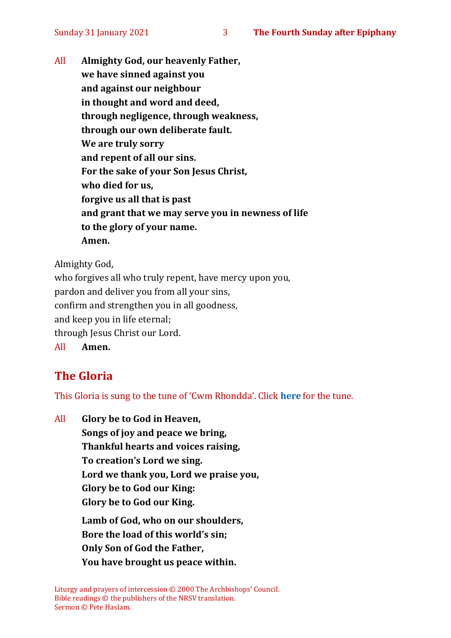All **Almighty God, our heavenly Father, we have sinned against you and against our neighbour in thought and word and deed, through negligence, through weakness, through our own deliberate fault. We are truly sorry and repent of all our sins. For the sake of your Son Jesus Christ, who died for us, forgive us all that is past and grant that we may serve you in newness of life to the glory of your name. Amen.**

Almighty God,

who forgives all who truly repent, have mercy upon you, pardon and deliver you from all your sins, confirm and strengthen you in all goodness, and keep you in life eternal; through Jesus Christ our Lord. All **Amen.**

# **The Gloria**

This Gloria is sung to the tune of 'Cwm Rhondda'. Click **[here](about:blank)** for the tune.

All **Glory be to God in Heaven, Songs of joy and peace we bring, Thankful hearts and voices raising, To creation's Lord we sing. Lord we thank you, Lord we praise you, Glory be to God our King: Glory be to God our King. Lamb of God, who on our shoulders, Bore the load of this world's sin; Only Son of God the Father, You have brought us peace within.**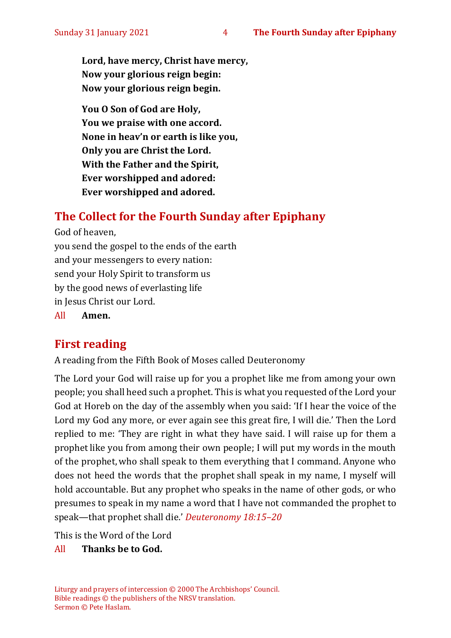**Lord, have mercy, Christ have mercy, Now your glorious reign begin: Now your glorious reign begin.**

**You O Son of God are Holy, You we praise with one accord. None in heav'n or earth is like you, Only you are Christ the Lord. With the Father and the Spirit, Ever worshipped and adored: Ever worshipped and adored.**

# **The Collect for the Fourth Sunday after Epiphany**

God of heaven, you send the gospel to the ends of the earth and your messengers to every nation: send your Holy Spirit to transform us by the good news of everlasting life in Jesus Christ our Lord. All **Amen.**

# **First reading**

A reading from the Fifth Book of Moses called Deuteronomy

The Lord your God will raise up for you a prophet like me from among your own people; you shall heed such a prophet. This is what you requested of the Lord your God at Horeb on the day of the assembly when you said: 'If I hear the voice of the Lord my God any more, or ever again see this great fire, I will die.' Then the Lord replied to me: 'They are right in what they have said. I will raise up for them a prophet like you from among their own people; I will put my words in the mouth of the prophet, who shall speak to them everything that I command. Anyone who does not heed the words that the prophet shall speak in my name, I myself will hold accountable. But any prophet who speaks in the name of other gods, or who presumes to speak in my name a word that I have not commanded the prophet to speak—that prophet shall die.' *Deuteronomy 18:15–20*

This is the Word of the Lord

#### All **Thanks be to God.**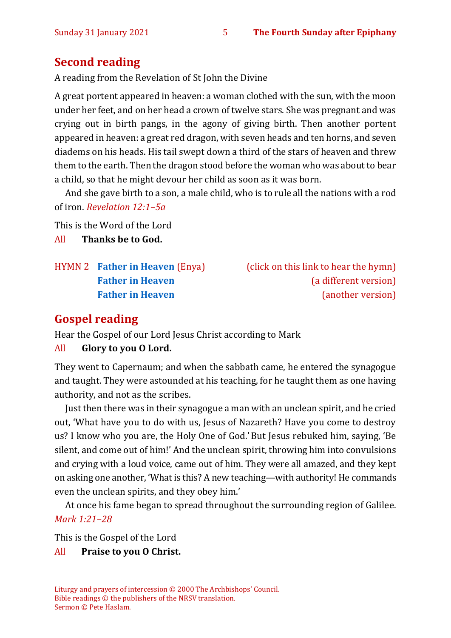# **Second reading**

A reading from the Revelation of St John the Divine

A great portent appeared in heaven: a woman clothed with the sun, with the moon under her feet, and on her head a crown of twelve stars. She was pregnant and was crying out in birth pangs, in the agony of giving birth. Then another portent appeared in heaven: a great red dragon, with seven heads and ten horns, and seven diadems on his heads. His tail swept down a third of the stars of heaven and threw them to the earth. Then the dragon stood before the woman who was about to bear a child, so that he might devour her child as soon as it was born.

And she gave birth to a son, a male child, who is to rule all the nations with a rod of iron. *Revelation 12:1–5a*

This is the Word of the Lord All **Thanks be to God.**

HYMN 2 **[Father in Heaven](https://www.youtube.com/watch?v=BamB290iJU0)** (Enya) (click on this link to hear the hymn)

**[Father in Heaven](https://www.youtube.com/watch?v=ln_eFGIEbsM)** (a different version) **[Father in Heaven](https://www.youtube.com/watch?v=rMOXslS7v0E)** (another version)

# **Gospel reading**

Hear the Gospel of our Lord Jesus Christ according to Mark

#### All **Glory to you O Lord.**

They went to Capernaum; and when the sabbath came, he entered the synagogue and taught. They were astounded at his teaching, for he taught them as one having authority, and not as the scribes.

Just then there was in their synagogue a man with an unclean spirit, and he cried out, 'What have you to do with us, Jesus of Nazareth? Have you come to destroy us? I know who you are, the Holy One of God.'But Jesus rebuked him, saying, 'Be silent, and come out of him!' And the unclean spirit, throwing him into convulsions and crying with a loud voice, came out of him. They were all amazed, and they kept on asking one another, 'What is this? A new teaching—with authority! He commands even the unclean spirits, and they obey him.'

At once his fame began to spread throughout the surrounding region of Galilee. *Mark 1:21–28*

This is the Gospel of the Lord

#### All **Praise to you O Christ.**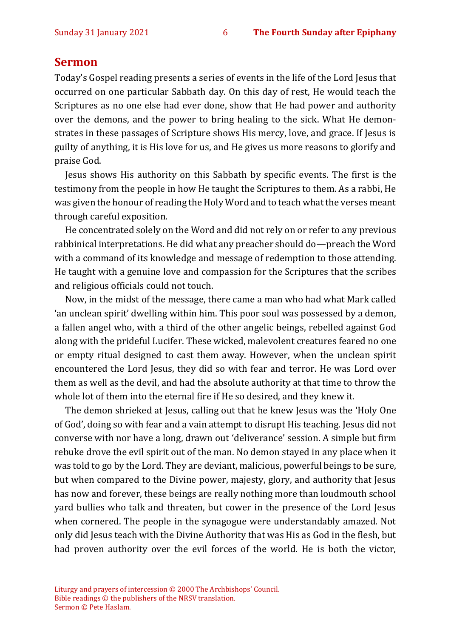#### **Sermon**

Today's Gospel reading presents a series of events in the life of the Lord Jesus that occurred on one particular Sabbath day. On this day of rest, He would teach the Scriptures as no one else had ever done, show that He had power and authority over the demons, and the power to bring healing to the sick. What He demonstrates in these passages of Scripture shows His mercy, love, and grace. If Jesus is guilty of anything, it is His love for us, and He gives us more reasons to glorify and praise God.

Jesus shows His authority on this Sabbath by specific events. The first is the testimony from the people in how He taught the Scriptures to them. As a rabbi, He was given the honour of reading the Holy Word and to teach what the verses meant through careful exposition.

He concentrated solely on the Word and did not rely on or refer to any previous rabbinical interpretations. He did what any preacher should do—preach the Word with a command of its knowledge and message of redemption to those attending. He taught with a genuine love and compassion for the Scriptures that the scribes and religious officials could not touch.

Now, in the midst of the message, there came a man who had what Mark called 'an unclean spirit' dwelling within him. This poor soul was possessed by a demon, a fallen angel who, with a third of the other angelic beings, rebelled against God along with the prideful Lucifer. These wicked, malevolent creatures feared no one or empty ritual designed to cast them away. However, when the unclean spirit encountered the Lord Jesus, they did so with fear and terror. He was Lord over them as well as the devil, and had the absolute authority at that time to throw the whole lot of them into the eternal fire if He so desired, and they knew it.

The demon shrieked at Jesus, calling out that he knew Jesus was the 'Holy One of God', doing so with fear and a vain attempt to disrupt His teaching. Jesus did not converse with nor have a long, drawn out 'deliverance' session. A simple but firm rebuke drove the evil spirit out of the man. No demon stayed in any place when it was told to go by the Lord. They are deviant, malicious, powerful beings to be sure, but when compared to the Divine power, majesty, glory, and authority that Jesus has now and forever, these beings are really nothing more than loudmouth school yard bullies who talk and threaten, but cower in the presence of the Lord Jesus when cornered. The people in the synagogue were understandably amazed. Not only did Jesus teach with the Divine Authority that was His as God in the flesh, but had proven authority over the evil forces of the world. He is both the victor,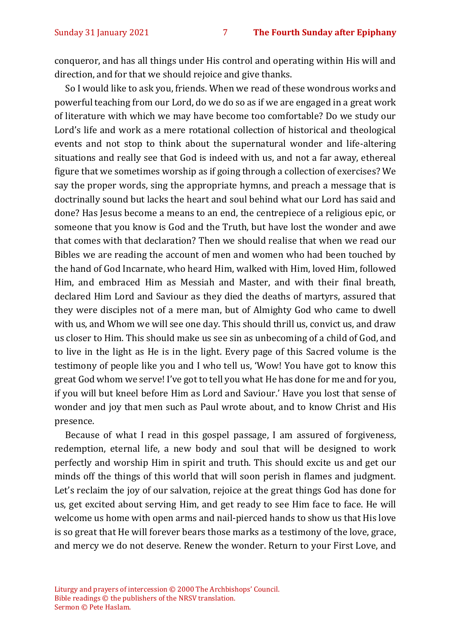conqueror, and has all things under His control and operating within His will and direction, and for that we should rejoice and give thanks.

So I would like to ask you, friends. When we read of these wondrous works and powerful teaching from our Lord, do we do so as if we are engaged in a great work of literature with which we may have become too comfortable? Do we study our Lord's life and work as a mere rotational collection of historical and theological events and not stop to think about the supernatural wonder and life-altering situations and really see that God is indeed with us, and not a far away, ethereal figure that we sometimes worship as if going through a collection of exercises? We say the proper words, sing the appropriate hymns, and preach a message that is doctrinally sound but lacks the heart and soul behind what our Lord has said and done? Has Jesus become a means to an end, the centrepiece of a religious epic, or someone that you know is God and the Truth, but have lost the wonder and awe that comes with that declaration? Then we should realise that when we read our Bibles we are reading the account of men and women who had been touched by the hand of God Incarnate, who heard Him, walked with Him, loved Him, followed Him, and embraced Him as Messiah and Master, and with their final breath, declared Him Lord and Saviour as they died the deaths of martyrs, assured that they were disciples not of a mere man, but of Almighty God who came to dwell with us, and Whom we will see one day. This should thrill us, convict us, and draw us closer to Him. This should make us see sin as unbecoming of a child of God, and to live in the light as He is in the light. Every page of this Sacred volume is the testimony of people like you and I who tell us, 'Wow! You have got to know this great God whom we serve! I've got to tell you what He has done for me and for you, if you will but kneel before Him as Lord and Saviour.' Have you lost that sense of wonder and joy that men such as Paul wrote about, and to know Christ and His presence.

Because of what I read in this gospel passage, I am assured of forgiveness, redemption, eternal life, a new body and soul that will be designed to work perfectly and worship Him in spirit and truth. This should excite us and get our minds off the things of this world that will soon perish in flames and judgment. Let's reclaim the joy of our salvation, rejoice at the great things God has done for us, get excited about serving Him, and get ready to see Him face to face. He will welcome us home with open arms and nail-pierced hands to show us that His love is so great that He will forever bears those marks as a testimony of the love, grace, and mercy we do not deserve. Renew the wonder. Return to your First Love, and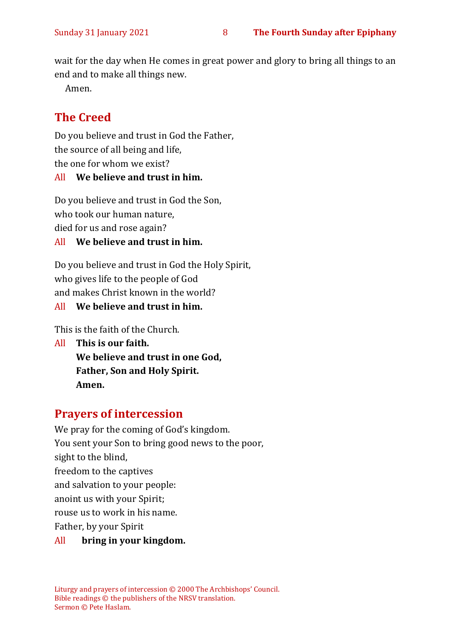wait for the day when He comes in great power and glory to bring all things to an end and to make all things new.

Amen.

# **The Creed**

Do you believe and trust in God the Father, the source of all being and life, the one for whom we exist?

#### All **We believe and trust in him.**

Do you believe and trust in God the Son, who took our human nature, died for us and rose again?

#### All **We believe and trust in him.**

Do you believe and trust in God the Holy Spirit, who gives life to the people of God and makes Christ known in the world?

#### All **We believe and trust in him.**

This is the faith of the Church.

All **This is our faith. We believe and trust in one God, Father, Son and Holy Spirit. Amen.**

# **Prayers of intercession**

We pray for the coming of God's kingdom. You sent your Son to bring good news to the poor, sight to the blind, freedom to the captives and salvation to your people: anoint us with your Spirit; rouse us to work in his name. Father, by your Spirit All **bring in your kingdom.**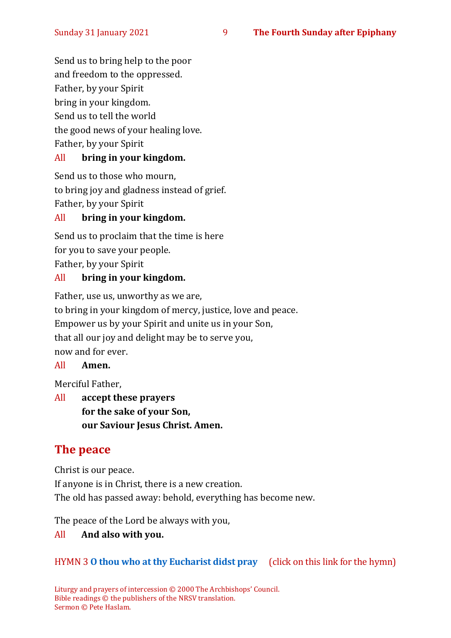Send us to bring help to the poor and freedom to the oppressed. Father, by your Spirit bring in your kingdom. Send us to tell the world the good news of your healing love. Father, by your Spirit

#### All **bring in your kingdom.**

Send us to those who mourn, to bring joy and gladness instead of grief. Father, by your Spirit

#### All **bring in your kingdom.**

Send us to proclaim that the time is here for you to save your people. Father, by your Spirit

#### All **bring in your kingdom.**

Father, use us, unworthy as we are, to bring in your kingdom of mercy, justice, love and peace. Empower us by your Spirit and unite us in your Son, that all our joy and delight may be to serve you, now and for ever.

#### All **Amen.**

Merciful Father,

All **accept these prayers for the sake of your Son, our Saviour Jesus Christ. Amen.**

# **The peace**

Christ is our peace. If anyone is in Christ, there is a new creation. The old has passed away: behold, everything has become new.

The peace of the Lord be always with you,

#### All **And also with you.**

#### HYMN 3 **O [thou who at thy Eucharist didst pray](https://www.youtube.com/watch?v=u4FERL8Xeno)** (click on this link for the hymn)

Liturgy and prayers of intercession © 2000 The Archbishops' Council. Bible readings © the publishers of the NRSV translation. Sermon © Pete Haslam.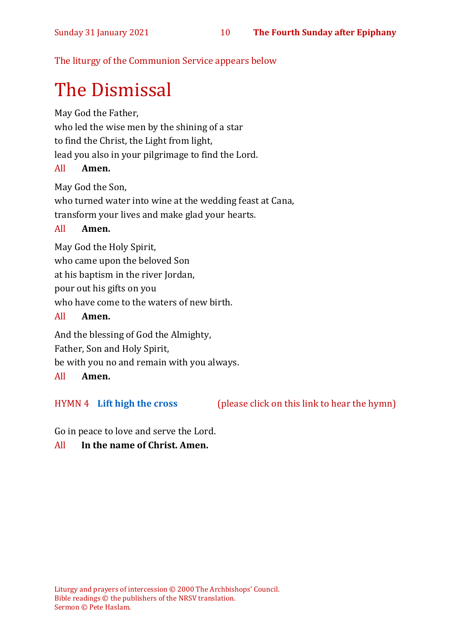The liturgy of the Communion Service appears below

# The Dismissal

May God the Father,

who led the wise men by the shining of a star

to find the Christ, the Light from light,

lead you also in your pilgrimage to find the Lord.

# All **Amen.**

May God the Son,

who turned water into wine at the wedding feast at Cana,

transform your lives and make glad your hearts.

## All **Amen.**

May God the Holy Spirit,

who came upon the beloved Son

at his baptism in the river Jordan,

pour out his gifts on you

who have come to the waters of new birth.

## All **Amen.**

And the blessing of God the Almighty,

Father, Son and Holy Spirit,

be with you no and remain with you always.

## All **Amen.**

HYMN 4 **[Lift high the cross](https://www.youtube.com/watch?v=GbcBXYP4AlE)** (please click on this link to hear the hymn)

Go in peace to love and serve the Lord.

# All **In the name of Christ. Amen.**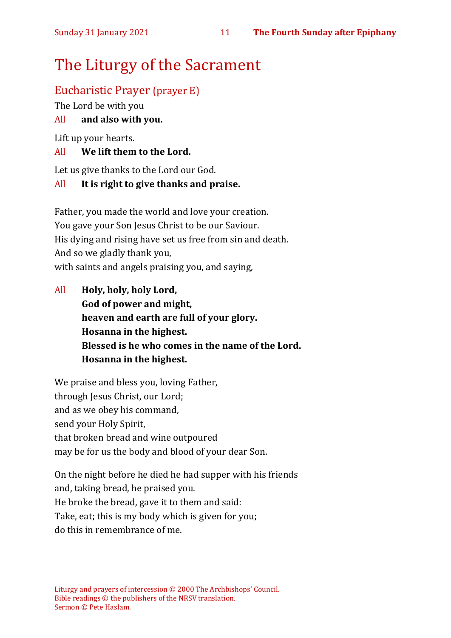# The Liturgy of the Sacrament

# Eucharistic Prayer (prayer E)

The Lord be with you

#### All **and also with you.**

Lift up your hearts.

#### All **We lift them to the Lord.**

Let us give thanks to the Lord our God.

#### All **It is right to give thanks and praise.**

Father, you made the world and love your creation. You gave your Son Jesus Christ to be our Saviour. His dying and rising have set us free from sin and death. And so we gladly thank you, with saints and angels praising you, and saying,

All **Holy, holy, holy Lord, God of power and might, heaven and earth are full of your glory. Hosanna in the highest. Blessed is he who comes in the name of the Lord. Hosanna in the highest.**

We praise and bless you, loving Father, through Jesus Christ, our Lord; and as we obey his command, send your Holy Spirit, that broken bread and wine outpoured may be for us the body and blood of your dear Son.

On the night before he died he had supper with his friends and, taking bread, he praised you. He broke the bread, gave it to them and said: Take, eat; this is my body which is given for you; do this in remembrance of me.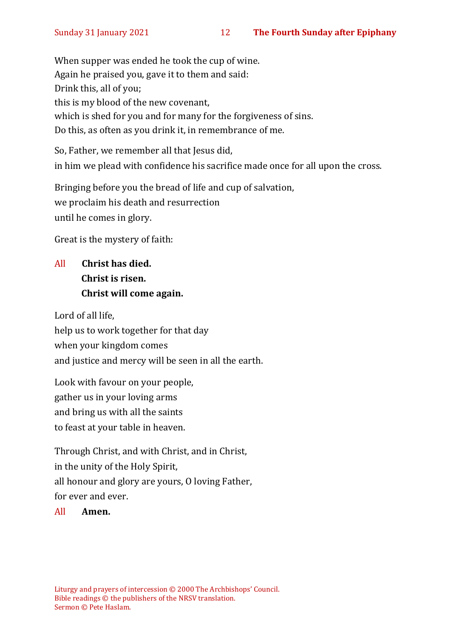When supper was ended he took the cup of wine. Again he praised you, gave it to them and said: Drink this, all of you; this is my blood of the new covenant, which is shed for you and for many for the forgiveness of sins. Do this, as often as you drink it, in remembrance of me.

So, Father, we remember all that Jesus did, in him we plead with confidence his sacrifice made once for all upon the cross.

Bringing before you the bread of life and cup of salvation, we proclaim his death and resurrection until he comes in glory.

Great is the mystery of faith:

# All **Christ has died. Christ is risen. Christ will come again.**

Lord of all life, help us to work together for that day when your kingdom comes and justice and mercy will be seen in all the earth.

Look with favour on your people, gather us in your loving arms and bring us with all the saints to feast at your table in heaven.

Through Christ, and with Christ, and in Christ, in the unity of the Holy Spirit, all honour and glory are yours, O loving Father, for ever and ever.

All **Amen.**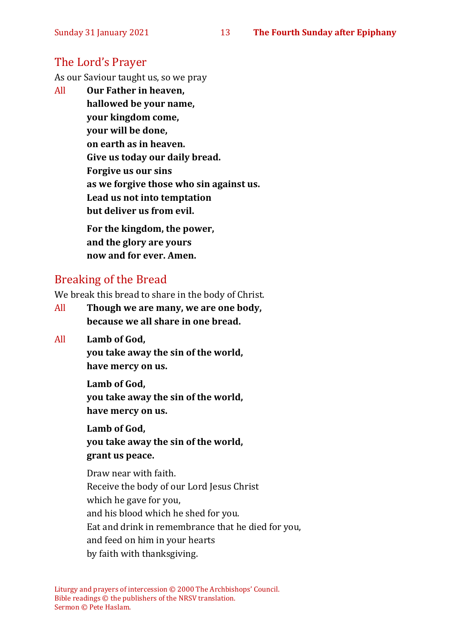# The Lord's Prayer

As our Saviour taught us, so we pray

All **Our Father in heaven, hallowed be your name, your kingdom come, your will be done, on earth as in heaven. Give us today our daily bread. Forgive us our sins as we forgive those who sin against us. Lead us not into temptation but deliver us from evil. For the kingdom, the power,** 

**and the glory are yours now and for ever. Amen.**

# Breaking of the Bread

We break this bread to share in the body of Christ.

- All **Though we are many, we are one body, because we all share in one bread.**
- All **Lamb of God,**

**you take away the sin of the world, have mercy on us.**

**Lamb of God,** 

**you take away the sin of the world, have mercy on us.**

**Lamb of God,** 

**you take away the sin of the world, grant us peace.**

Draw near with faith. Receive the body of our Lord Jesus Christ which he gave for you, and his blood which he shed for you. Eat and drink in remembrance that he died for you, and feed on him in your hearts by faith with thanksgiving.